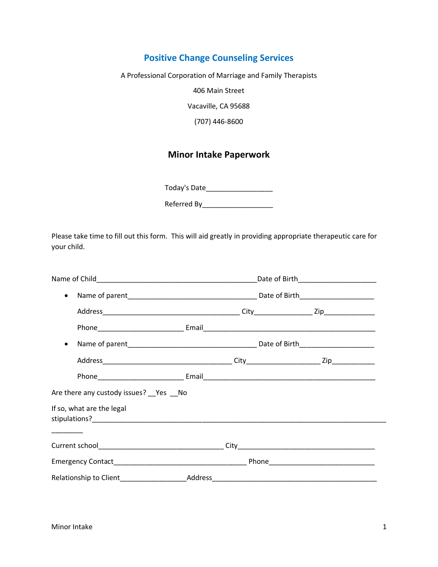# **Positive Change Counseling Services**

A Professional Corporation of Marriage and Family Therapists

406 Main Street

Vacaville, CA 95688

(707) 446-8600

# **Minor Intake Paperwork**

Today's Date\_\_\_\_\_\_\_\_\_\_\_\_\_\_\_\_\_

Referred By\_\_\_\_\_\_\_\_\_\_\_\_\_\_\_\_\_\_

Please take time to fill out this form. This will aid greatly in providing appropriate therapeutic care for your child.

|                                      | Date of Birth__________________________ |
|--------------------------------------|-----------------------------------------|
| $\bullet$                            |                                         |
|                                      |                                         |
|                                      |                                         |
| $\bullet$                            |                                         |
|                                      |                                         |
|                                      |                                         |
| Are there any custody issues? Pes No |                                         |
| If so, what are the legal            |                                         |
|                                      |                                         |
|                                      |                                         |
|                                      |                                         |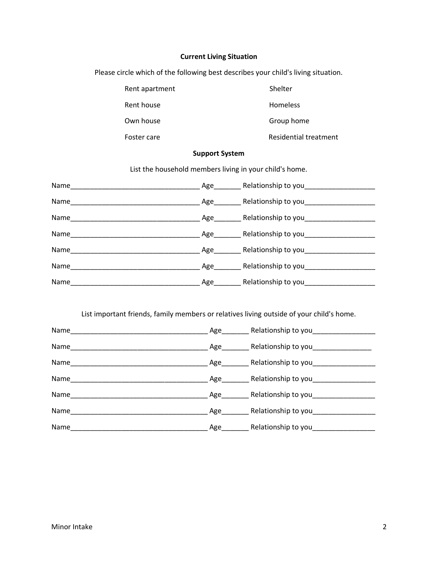### **Current Living Situation**

Please circle which of the following best describes your child's living situation.

| Rent apartment | Shelter                      |
|----------------|------------------------------|
| Rent house     | <b>Homeless</b>              |
| Own house      | Group home                   |
| Foster care    | <b>Residential treatment</b> |

#### **Support System**

List the household members living in your child's home.

| Name | Age | Relationship to you |
|------|-----|---------------------|
| Name | Age | Relationship to you |
| Name | Age | Relationship to you |
| Name | Age | Relationship to you |
| Name | Age | Relationship to you |
| Name | Age | Relationship to you |
| Name | Age | Relationship to you |

List important friends, family members or relatives living outside of your child's home.

| Name | Age | Relationship to you     |
|------|-----|-------------------------|
| Name | Age | Relationship to you     |
| Name | Age | Relationship to you     |
| Name | Age | Relationship to you____ |
| Name | Age | Relationship to you     |
| Name | Age | Relationship to you     |
| Name | Age | Relationship to you     |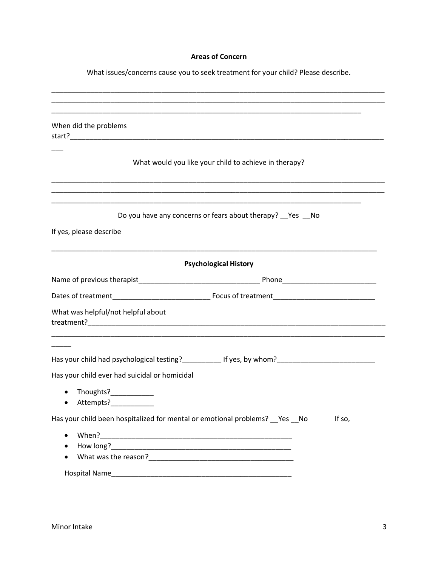## **Areas of Concern**

What issues/concerns cause you to seek treatment for your child? Please describe.

|                                               | ,我们也不能在这里的人,我们也不能在这里的人,我们也不能在这里的人,我们也不能在这里的人,我们也不能在这里的人,我们也不能在这里的人,我们也不能在这里的人,我们                                                                                                       |
|-----------------------------------------------|----------------------------------------------------------------------------------------------------------------------------------------------------------------------------------------|
| When did the problems                         |                                                                                                                                                                                        |
|                                               |                                                                                                                                                                                        |
|                                               | What would you like your child to achieve in therapy?                                                                                                                                  |
|                                               |                                                                                                                                                                                        |
|                                               |                                                                                                                                                                                        |
|                                               | <u> 1989 - Johann Stoff, deutscher Stoff, der Stoff, der Stoff, der Stoff, der Stoff, der Stoff, der Stoff, der S</u><br>Do you have any concerns or fears about therapy? __ Yes __ No |
|                                               |                                                                                                                                                                                        |
| If yes, please describe                       |                                                                                                                                                                                        |
|                                               |                                                                                                                                                                                        |
|                                               | <b>Psychological History</b>                                                                                                                                                           |
|                                               |                                                                                                                                                                                        |
|                                               |                                                                                                                                                                                        |
| What was helpful/not helpful about            |                                                                                                                                                                                        |
|                                               |                                                                                                                                                                                        |
|                                               |                                                                                                                                                                                        |
|                                               |                                                                                                                                                                                        |
| Has your child ever had suicidal or homicidal |                                                                                                                                                                                        |
| Thoughts?____________<br>$\bullet$            |                                                                                                                                                                                        |
| Attempts?<br>$\bullet$                        |                                                                                                                                                                                        |
|                                               | Has your child been hospitalized for mental or emotional problems? __ Yes __ No<br>If so,                                                                                              |
|                                               |                                                                                                                                                                                        |
| When?<br>$\bullet$                            |                                                                                                                                                                                        |
|                                               |                                                                                                                                                                                        |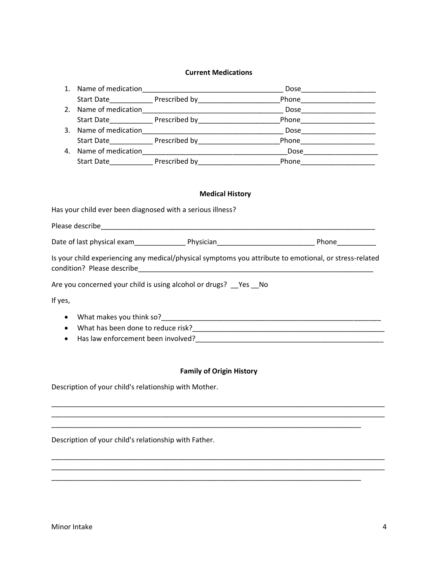#### **Current Medications**

|           |  |                                                                                      | _Phone________________________                                                                         |
|-----------|--|--------------------------------------------------------------------------------------|--------------------------------------------------------------------------------------------------------|
|           |  |                                                                                      |                                                                                                        |
|           |  |                                                                                      | Start Date________________ Prescribed by____________________________Phone__________________________    |
|           |  |                                                                                      |                                                                                                        |
|           |  |                                                                                      | Start Date________________ Prescribed by_____________________________Phone_________________________    |
|           |  |                                                                                      |                                                                                                        |
|           |  |                                                                                      | Start Date________________ Prescribed by_____________________________Phone_________________________    |
|           |  | <b>Medical History</b><br>Has your child ever been diagnosed with a serious illness? |                                                                                                        |
|           |  |                                                                                      |                                                                                                        |
|           |  |                                                                                      |                                                                                                        |
|           |  |                                                                                      |                                                                                                        |
|           |  |                                                                                      | Is your child experiencing any medical/physical symptoms you attribute to emotional, or stress-related |
|           |  | Are you concerned your child is using alcohol or drugs? Ves No                       |                                                                                                        |
| If yes,   |  |                                                                                      |                                                                                                        |
| $\bullet$ |  |                                                                                      |                                                                                                        |
| $\bullet$ |  |                                                                                      |                                                                                                        |
| $\bullet$ |  |                                                                                      |                                                                                                        |
|           |  |                                                                                      |                                                                                                        |

### **Family of Origin History**

\_\_\_\_\_\_\_\_\_\_\_\_\_\_\_\_\_\_\_\_\_\_\_\_\_\_\_\_\_\_\_\_\_\_\_\_\_\_\_\_\_\_\_\_\_\_\_\_\_\_\_\_\_\_\_\_\_\_\_\_\_\_\_\_\_\_\_\_\_\_\_\_\_\_\_\_\_\_\_\_\_\_\_\_\_ \_\_\_\_\_\_\_\_\_\_\_\_\_\_\_\_\_\_\_\_\_\_\_\_\_\_\_\_\_\_\_\_\_\_\_\_\_\_\_\_\_\_\_\_\_\_\_\_\_\_\_\_\_\_\_\_\_\_\_\_\_\_\_\_\_\_\_\_\_\_\_\_\_\_\_\_\_\_\_\_\_\_\_\_\_

\_\_\_\_\_\_\_\_\_\_\_\_\_\_\_\_\_\_\_\_\_\_\_\_\_\_\_\_\_\_\_\_\_\_\_\_\_\_\_\_\_\_\_\_\_\_\_\_\_\_\_\_\_\_\_\_\_\_\_\_\_\_\_\_\_\_\_\_\_\_\_\_\_\_\_\_\_\_\_\_\_\_\_\_\_

\_\_\_\_\_\_\_\_\_\_\_\_\_\_\_\_\_\_\_\_\_\_\_\_\_\_\_\_\_\_\_\_\_\_\_\_\_\_\_\_\_\_\_\_\_\_\_\_\_\_\_\_\_\_\_\_\_\_\_\_\_\_\_\_\_\_\_\_\_\_\_\_\_\_\_\_\_\_\_

\_\_\_\_\_\_\_\_\_\_\_\_\_\_\_\_\_\_\_\_\_\_\_\_\_\_\_\_\_\_\_\_\_\_\_\_\_\_\_\_\_\_\_\_\_\_\_\_\_\_\_\_\_\_\_\_\_\_\_\_\_\_\_\_\_\_\_\_\_\_\_\_\_\_\_\_\_\_\_

\_\_\_\_\_\_\_\_\_\_\_\_\_\_\_\_\_\_\_\_\_\_\_\_\_\_\_\_\_\_\_\_\_\_\_\_\_\_\_\_\_\_\_\_\_\_\_\_\_\_\_\_\_\_\_\_\_\_\_\_\_\_\_\_\_\_\_\_\_\_\_\_\_\_\_\_\_\_\_\_\_\_\_\_\_

Description of your child's relationship with Mother.

Description of your child's relationship with Father.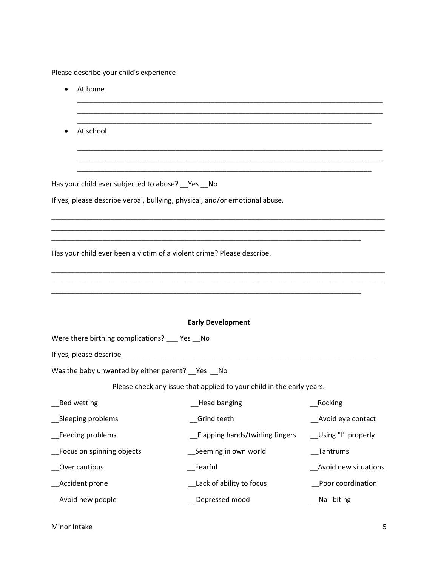Please describe your child's experience

| At home                                                                |                                                                             |                      |  |  |
|------------------------------------------------------------------------|-----------------------------------------------------------------------------|----------------------|--|--|
| At school                                                              |                                                                             |                      |  |  |
| Has your child ever subjected to abuse? __ Yes __ No                   |                                                                             |                      |  |  |
|                                                                        | If yes, please describe verbal, bullying, physical, and/or emotional abuse. |                      |  |  |
| Has your child ever been a victim of a violent crime? Please describe. |                                                                             |                      |  |  |
|                                                                        |                                                                             |                      |  |  |
|                                                                        | <b>Early Development</b>                                                    |                      |  |  |
| Were there birthing complications? ___ Yes __ No                       |                                                                             |                      |  |  |
|                                                                        |                                                                             |                      |  |  |
| Was the baby unwanted by either parent? __ Yes __ No                   |                                                                             |                      |  |  |
|                                                                        | Please check any issue that applied to your child in the early years.       |                      |  |  |
| Bed wetting                                                            | Mead banging The Cooking                                                    |                      |  |  |
| Sleeping problems                                                      | Grind teeth                                                                 | Avoid eye contact    |  |  |
| Feeding problems                                                       | Flapping hands/twirling fingers                                             | Using "I" properly   |  |  |
| Focus on spinning objects                                              | Seeming in own world                                                        | __Tantrums           |  |  |
| Over cautious                                                          | Fearful                                                                     | Avoid new situations |  |  |
| Accident prone                                                         | Lack of ability to focus                                                    | Poor coordination    |  |  |
| Avoid new people                                                       | Depressed mood                                                              | Nail biting          |  |  |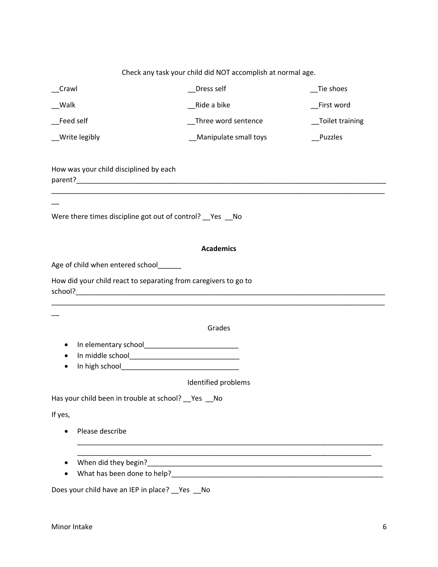# Check any task your child did NOT accomplish at normal age.

| Crawl                                                           | Dress self             | Tie shoes        |
|-----------------------------------------------------------------|------------------------|------------------|
| __Walk                                                          | Ride a bike            | First word       |
| Feed self                                                       | _Three word sentence   | _Toilet training |
| __Write legibly                                                 | _Manipulate small toys | _Puzzles         |
| How was your child disciplined by each                          |                        |                  |
| Were there times discipline got out of control? __ Yes __ No    |                        |                  |
|                                                                 | <b>Academics</b>       |                  |
| Age of child when entered school                                |                        |                  |
| How did your child react to separating from caregivers to go to |                        |                  |
|                                                                 | Grades                 |                  |
|                                                                 |                        |                  |
| ٠                                                               |                        |                  |
| ٠                                                               |                        |                  |
|                                                                 | Identified problems    |                  |
| Has your child been in trouble at school? __ Yes                | No                     |                  |
| If yes,                                                         |                        |                  |
| Please describe<br>$\bullet$                                    |                        |                  |
| When did they begin?                                            |                        |                  |
| What has been done to help?                                     |                        |                  |
| Does your child have an IEP in place? __ Yes __ No              |                        |                  |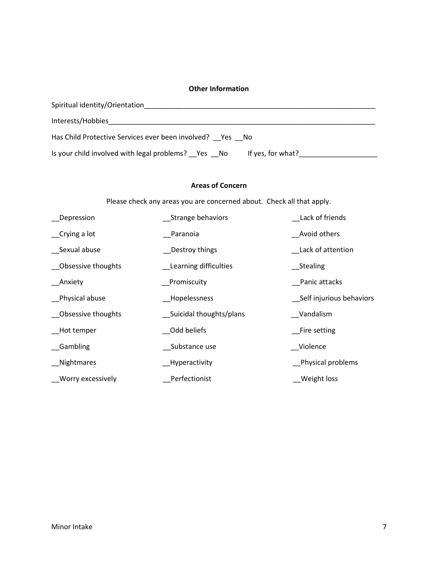#### **Other Information**

| Spiritual identity/Orientation                                          |
|-------------------------------------------------------------------------|
| Interests/Hobbies                                                       |
| Has Child Protective Services ever been involved? Yes No                |
| Is your child involved with legal problems? Yes No<br>If yes, for what? |

#### **Areas of Concern**

Please check any areas you are concerned about. Check all that apply.

| Depression         | Strange behaviors       | Lack of friends          |
|--------------------|-------------------------|--------------------------|
| $C$ rying a lot    | Paranoia                | Avoid others             |
| Sexual abuse       | Destroy things          | Lack of attention        |
| Obsessive thoughts | Learning difficulties   | Stealing                 |
| _Anxiety           | Promiscuity             | Panic attacks            |
| Physical abuse     | Hopelessness            | Self injurious behaviors |
| Obsessive thoughts | Suicidal thoughts/plans | Vandalism                |
| Hot temper         | Odd beliefs             | <b>Fire setting</b>      |
| Gambling           | Substance use           | Violence                 |
| Nightmares         | Hyperactivity           | Physical problems        |
| _Worry excessively | Perfectionist           | Weight loss              |